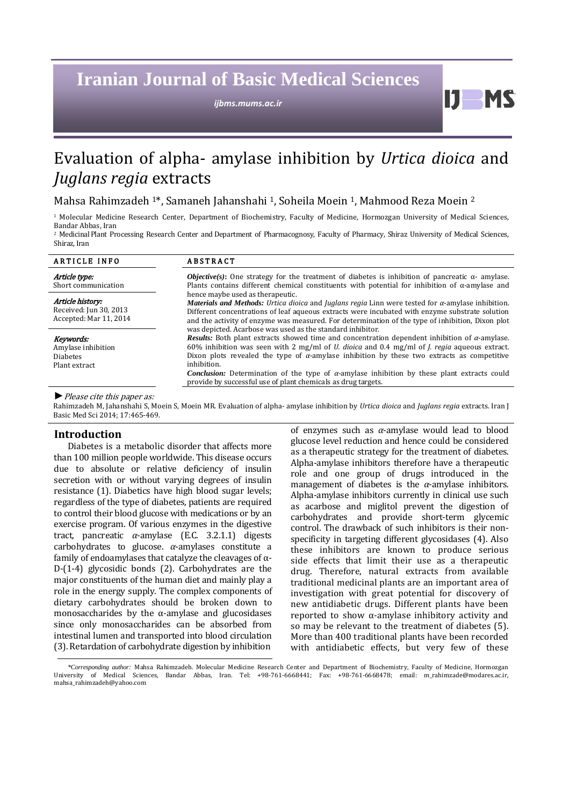# **Iranian Journal of Basic Medical Sciences**

*ijbms.mums.ac.ir*

# Evaluation of alpha- amylase inhibition by *Urtica dioica* and *Juglans regia* extracts

Mahsa Rahimzadeh 1\*, Samaneh Jahanshahi 1, Soheila Moein 1, Mahmood Reza Moein 2

<sup>1</sup> Molecular Medicine Research Center, Department of Biochemistry, Faculty of Medicine, Hormozgan University of Medical Sciences, Bandar Abbas, Iran

2 Medicinal Plant Processing Research Center and Department of Pharmacognosy, Faculty of Pharmacy, Shiraz University of Medical Sciences, Shiraz, Iran

| <b>ARTICLE INFO</b>                                                  | <b>ABSTRACT</b>                                                                                                                                                                                                                                                                                                                                                                                                                                                                                                                                                                                                                                                                                                                                                                                                                                                                                                                                                                                                                                                                                                                                                                                     |
|----------------------------------------------------------------------|-----------------------------------------------------------------------------------------------------------------------------------------------------------------------------------------------------------------------------------------------------------------------------------------------------------------------------------------------------------------------------------------------------------------------------------------------------------------------------------------------------------------------------------------------------------------------------------------------------------------------------------------------------------------------------------------------------------------------------------------------------------------------------------------------------------------------------------------------------------------------------------------------------------------------------------------------------------------------------------------------------------------------------------------------------------------------------------------------------------------------------------------------------------------------------------------------------|
| Article type:<br>Short communication                                 | <i>Objective(s)</i> : One strategy for the treatment of diabetes is inhibition of pancreatic $\alpha$ - amylase.<br>Plants contains different chemical constituents with potential for inhibition of $\alpha$ -amylase and<br>hence maybe used as therapeutic.<br><i>Materials and Methods: Urtica dioica and Juglans regia Linn were tested for <math>\alpha</math>-amylase inhibition.</i><br>Different concentrations of leaf aqueous extracts were incubated with enzyme substrate solution<br>and the activity of enzyme was measured. For determination of the type of inhibition, Dixon plot<br>was depicted. Acarbose was used as the standard inhibitor.<br><b>Results:</b> Both plant extracts showed time and concentration dependent inhibition of $\alpha$ -amylase.<br>60% inhibition was seen with 2 mg/ml of <i>U. dioica</i> and 0.4 mg/ml of <i>J. regia</i> aqueous extract.<br>Dixon plots revealed the type of $\alpha$ -amylase inhibition by these two extracts as competitive<br>inhibition.<br><i>Conclusion:</i> Determination of the type of $\alpha$ -amylase inhibition by these plant extracts could<br>provide by successful use of plant chemicals as drug targets. |
| Article history:<br>Received: Jun 30, 2013<br>Accepted: Mar 11, 2014 |                                                                                                                                                                                                                                                                                                                                                                                                                                                                                                                                                                                                                                                                                                                                                                                                                                                                                                                                                                                                                                                                                                                                                                                                     |
| Keywords:<br>Amylase inhibition<br><b>Diabetes</b><br>Plant extract  |                                                                                                                                                                                                                                                                                                                                                                                                                                                                                                                                                                                                                                                                                                                                                                                                                                                                                                                                                                                                                                                                                                                                                                                                     |

*►*Please cite this paper as:

Rahimzadeh M, Jahanshahi S, Moein S, Moein MR. Evaluation of alpha- amylase inhibition by *Urtica dioica* and *Juglans regia* extracts. Iran J Basic Med Sci 2014; 17:465-469.

# **Introduction**

Diabetes is a metabolic disorder that affects more than 100 million people worldwide. This disease occurs due to absolute or relative deficiency of insulin secretion with or without varying degrees of insulin resistance (1). Diabetics have high blood sugar levels; regardless of the type of diabetes, patients are required to control their blood glucose with medications or by an exercise program. Of various enzymes in the digestive tract, pancreatic *α*-amylase (E.C. 3.2.1.1) digests carbohydrates to glucose. *α*-amylases constitute a family of endoamylases that catalyze the cleavages of α-D-(1-4) glycosidic bonds (2). Carbohydrates are the major constituents of the human diet and mainly play a role in the energy supply. The complex components of dietary carbohydrates should be broken down to monosaccharides by the  $\alpha$ -amylase and glucosidases since only monosaccharides can be absorbed from intestinal lumen and transported into blood circulation (3). Retardation of carbohydrate digestion by inhibition

of enzymes such as *α*-amylase would lead to blood glucose level reduction and hence could be considered as a therapeutic strategy for the treatment of diabetes. Alpha-amylase inhibitors therefore have a therapeutic role and one group of drugs introduced in the management of diabetes is the *α*-amylase inhibitors. Alpha-amylase inhibitors currently in clinical use such as acarbose and miglitol prevent the digestion of carbohydrates and provide short-term glycemic control. The drawback of such inhibitors is their nonspecificity in targeting different glycosidases (4). Also these inhibitors are known to produce serious side effects that limit their use as a therapeutic drug. Therefore, natural extracts from available traditional medicinal plants are an important area of investigation with great potential for discovery of new antidiabetic drugs. Different plants have been reported to show α-amylase inhibitory activity and so may be relevant to the treatment of diabetes (5). More than 400 traditional plants have been recorded with antidiabetic effects, but very few of these

 $\mathbf{L}$ 

*<sup>\*</sup>Corresponding author:* Mahsa Rahimzadeh. Molecular Medicine Research Center and Department of Biochemistry, Faculty of Medicine, Hormozgan University of Medical Sciences, Bandar Abbas, Iran. Tel: +98-761-6668441; Fax: +98-761-6668478; email: [m\\_rahimzade@m](mailto:m_rahimzade@)odares.ac.ir, mahsa\_rahimzadeh@yahoo.com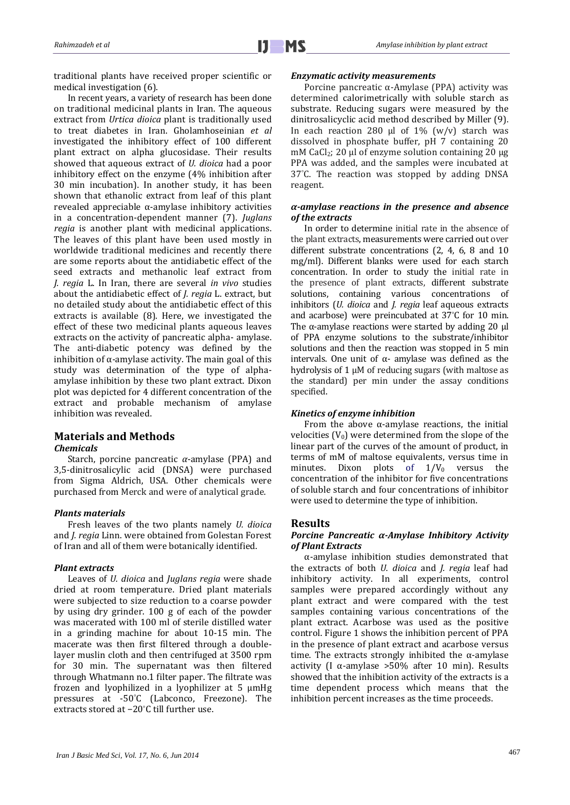traditional plants have received proper scientific or medical investigation (6).

In recent years, a variety of research has been done on traditional medicinal plants in Iran. The aqueous extract from *Urtica dioica* plant is traditionally used to treat diabetes in Iran. Gholamhoseinian *et al* investigated the inhibitory effect of 100 different plant extract on alpha glucosidase. Their results showed that aqueous extract of *U. dioica* had a poor inhibitory effect on the enzyme (4% inhibition after 30 min incubation). In another study, it has been shown that ethanolic extract from leaf of this plant revealed appreciable α-amylase inhibitory activities in a concentration-dependent manner (7). *Juglans regia* is another plant with medicinal applications. The leaves of this plant have been used mostly in worldwide traditional medicines and recently there are some reports about the antidiabetic effect of the seed extracts and methanolic leaf extract from *J. regia* L. In Iran, there are several *in vivo* studies about the antidiabetic effect of *J. regia* L. extract, but no detailed study about the antidiabetic effect of this extracts is available (8). Here, we investigated the effect of these two medicinal plants aqueous leaves extracts on the activity of pancreatic alpha- amylase. The anti-diabetic potency was defined by the inhibition of  $\alpha$ -amylase activity. The main goal of this study was determination of the type of alphaamylase inhibition by these two plant extract. Dixon plot was depicted for 4 different concentration of the extract and probable mechanism of amylase inhibition was revealed.

# **Materials and Methods**

#### *Chemicals*

Starch, porcine pancreatic *α*-amylase (PPA) and 3,5-dinitrosalicylic acid (DNSA) were purchased from Sigma Aldrich, USA. Other chemicals were purchased from Merck and were of analytical grade.

#### *Plants materials*

Fresh leaves of the two plants namely *U. dioica*  and *J. regia* Linn. were obtained from Golestan Forest of Iran and all of them were botanically identified.

# *Plant extracts*

Leaves of *U. dioica* and *Juglans regia* were shade dried at room temperature. Dried plant materials were subjected to size reduction to a coarse powder by using dry grinder. 100 g of each of the powder was macerated with 100 ml of sterile distilled water in a grinding machine for about 10-15 min. The macerate was then first filtered through a doublelayer muslin cloth and then centrifuged at 3500 rpm for 30 min. The supernatant was then filtered through Whatmann no.1 filter paper. The filtrate was frozen and lyophilized in a lyophilizer at 5 μmHg pressures at -50° C (Labconco, Freezone). The extracts stored at −20° C till further use.

#### *Enzymatic activity measurements*

Porcine pancreatic α-Amylase (PPA) activity was determined calorimetrically with soluble starch as substrate. Reducing sugars were measured by the dinitrosalicyclic acid method described by Miller (9). In each reaction 280 μl of  $1\%$  (w/v) starch was dissolved in phosphate buffer, pH 7 containing 20 mM CaCl<sub>2</sub>; 20 μl of enzyme solution containing 20 μg PPA was added, and the samples were incubated at 37° C. The reaction was stopped by adding DNSA reagent.

#### *α-amylase reactions in the presence and absence of the extracts*

In order to determine initial rate in the absence of the plant extracts, measurements were carried out over different substrate concentrations (2, 4, 6, 8 and 10 mg/ml). Different blanks were used for each starch concentration. In order to study the initial rate in the presence of plant extracts, different substrate solutions, containing various concentrations of inhibitors (*U. dioica* and *J. regia* leaf aqueous extracts and acarbose) were preincubated at 37° C for 10 min. The α-amylase reactions were started by adding 20  $\mu$ l of PPA enzyme solutions to the substrate/inhibitor solutions and then the reaction was stopped in 5 min intervals. One unit of α- amylase was defined as the hydrolysis of 1 μM of reducing sugars (with maltose as the standard) per min under the assay conditions specified.

#### *Kinetics of enzyme inhibition*

From the above  $\alpha$ -amylase reactions, the initial velocities  $(V_0)$  were determined from the slope of the linear part of the curves of the amount of product, in terms of mM of maltose equivalents, versus time in<br>minutes. Dixon plots of  $1/V_0$  versus the minutes. Dixon plots of  $1/V_0$  versus concentration of the inhibitor for five concentrations of soluble starch and four concentrations of inhibitor were used to determine the type of inhibition.

# **Results**

#### *Porcine Pancreatic α-Amylase Inhibitory Activity of Plant Extracts*

α-amylase inhibition studies demonstrated that the extracts of both *U. dioica* and *J. regia* leaf had inhibitory activity. In all experiments, control samples were prepared accordingly without any plant extract and were compared with the test samples containing various concentrations of the plant extract. Acarbose was used as the positive control. Figure 1 shows the inhibition percent of PPA in the presence of plant extract and acarbose versus time. The extracts strongly inhibited the  $\alpha$ -amylase activity (I α-amylase >50% after 10 min). Results showed that the inhibition activity of the extracts is a time dependent process which means that the inhibition percent increases as the time proceeds.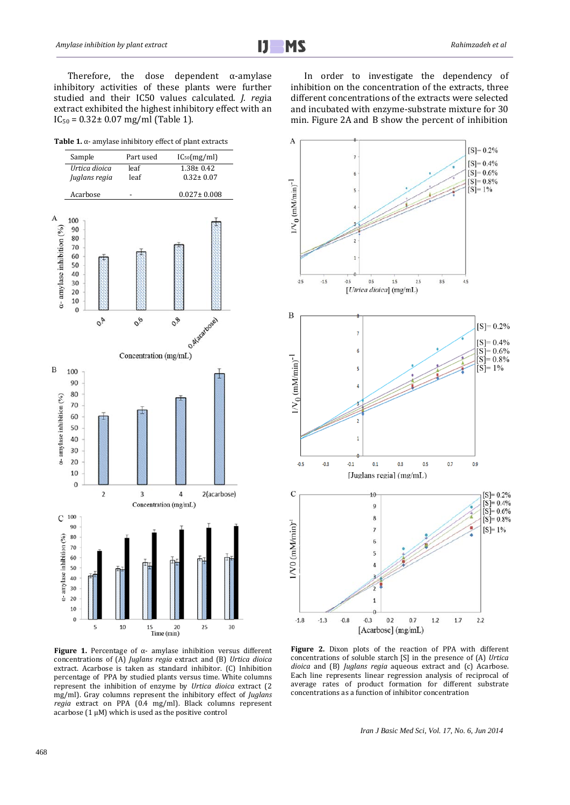Therefore, the dose dependent  $\alpha$ -amylase inhibitory activities of these plants were further studied and their IC50 values calculated. *J. reg*ia extract exhibited the highest inhibitory effect with an  $IC_{50} = 0.32 \pm 0.07$  mg/ml (Table 1).

| Table 1. $\alpha$ - amylase inhibitory effect of plant extracts |
|-----------------------------------------------------------------|
|                                                                 |



**Figure 1.** Percentage of α- amylase inhibition versus different concentrations of (A) *Juglans regia* extract and (B) *Urtica dioica*  extract. Acarbose is taken as standard inhibitor. (C) Inhibition percentage of PPA by studied plants versus time. White columns represent the inhibition of enzyme by *Urtica dioica* extract (2 mg/ml). Gray columns represent the inhibitory effect of *Juglans regia* extract on PPA (0.4 mg/ml). Black columns represent acarbose  $(1 \mu M)$  which is used as the positive control

In order to investigate the dependency of inhibition on the concentration of the extracts, three different concentrations of the extracts were selected and incubated with enzyme-substrate mixture for 30 min. Figure 2A and B show the percent of inhibition



**Figure 2.** Dixon plots of the reaction of PPA with different concentrations of soluble starch [S] in the presence of (A) *Urtica dioica* and (B) *Juglans regia* aqueous extract and (c) Acarbose. Each line represents linear regression analysis of reciprocal of average rates of product formation for different substrate concentrations as a function of inhibitor concentration

*Iran J Basic Med Sci, Vol. 17, No. 6, Jun 2014*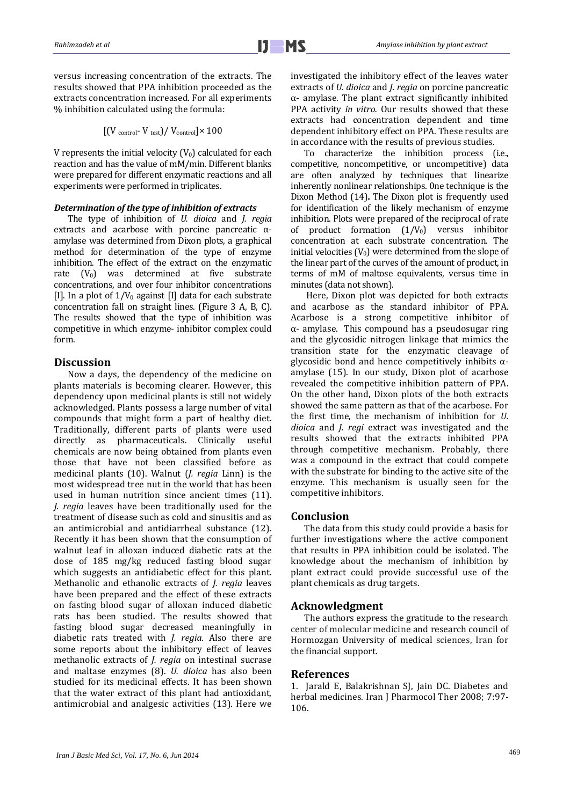versus increasing concentration of the extracts. The results showed that PPA inhibition proceeded as the extracts concentration increased. For all experiments % inhibition calculated using the formula:

$$
[(V_{\text{control}} - V_{\text{test}}) / V_{\text{control}}] \times 100
$$

V represents the initial velocity  $(V_0)$  calculated for each reaction and has the value of mM/min. Different blanks were prepared for different enzymatic reactions and all experiments were performed in triplicates.

#### *Determination of the type of inhibition of extracts*

The type of inhibition of *U. dioica* and *J. regia*  extracts and acarbose with porcine pancreatic αamylase was determined from Dixon plots, a graphical method for determination of the type of enzyme inhibition. The effect of the extract on the enzymatic rate  $(V_0)$  was determined at five substrate  $(V_0)$  was determined at five substrate concentrations, and over four inhibitor concentrations [I]. In a plot of  $1/V_0$  against [I] data for each substrate concentration fall on straight lines. (Figure 3 A, B, C). The results showed that the type of inhibition was competitive in which enzyme- inhibitor complex could form.

# **Discussion**

Now a days, the dependency of the medicine on plants materials is becoming clearer. However, this dependency upon medicinal plants is still not widely acknowledged. Plants possess a large number of vital compounds that might form a part of healthy diet. Traditionally, different parts of plants were used directly as pharmaceuticals. Clinically useful chemicals are now being obtained from plants even those that have not been classified before as medicinal plants (10). Walnut (*J. regia* Linn) is the most widespread tree nut in the world that has been used in human nutrition since ancient times (11). *J. regia* leaves have been traditionally used for the treatment of disease such as cold and sinusitis and as an antimicrobial and antidiarrheal substance (12). Recently it has been shown that the consumption of walnut leaf in alloxan induced diabetic rats at the dose of 185 mg/kg reduced fasting blood sugar which suggests an antidiabetic effect for this plant. Methanolic and ethanolic extracts of *J. regia* leaves have been prepared and the effect of these extracts on fasting blood sugar of alloxan induced diabetic rats has been studied. The results showed that fasting blood sugar decreased meaningfully in diabetic rats treated with *J. regia.* Also there are some reports about the inhibitory effect of leaves methanolic extracts of *J. regia* on intestinal sucrase and maltase enzymes (8). *U. dioica* has also been studied for its medicinal effects. It has been shown that the water extract of this plant had antioxidant, antimicrobial and analgesic activities (13). Here we investigated the inhibitory effect of the leaves water extracts of *U. dioica* and *J. regia* on porcine pancreatic α- amylase. The plant extract significantly inhibited PPA activity *in vitro.* Our results showed that these extracts had concentration dependent and time dependent inhibitory effect on PPA. These results are in accordance with the results of previous studies.

To characterize the inhibition process (i.e., competitive, noncompetitive, or uncompetitive) data are often analyzed by techniques that linearize inherently nonlinear relationships. 0ne technique is the Dixon Method (14)**.** The Dixon plot is frequently used for identification of the likely mechanism of enzyme inhibition. Plots were prepared of the reciprocal of rate of product formation  $(1/V_0)$  versus inhibitor concentration at each substrate concentration. The initial velocities  $(V_0)$  were determined from the slope of the linear part of the curves of the amount of product, in terms of mM of maltose equivalents, versus time in minutes (data not shown).

Here, Dixon plot was depicted for both extracts and acarbose as the standard inhibitor of PPA. Acarbose is a strong competitive inhibitor of α- amylase. This compound has a pseudosugar ring and the glycosidic nitrogen linkage that mimics the transition state for the enzymatic cleavage of glycosidic bond and hence competitively inhibits  $\alpha$ amylase (15). In our study, Dixon plot of acarbose revealed the competitive inhibition pattern of PPA. On the other hand, Dixon plots of the both extracts showed the same pattern as that of the acarbose. For the first time, the mechanism of inhibition for *U. dioica* and *J. regi* extract was investigated and the results showed that the extracts inhibited PPA through competitive mechanism. Probably, there was a compound in the extract that could compete with the substrate for binding to the active site of the enzyme. This mechanism is usually seen for the competitive inhibitors.

# **Conclusion**

The data from this study could provide a basis for further investigations where the active component that results in PPA inhibition could be isolated. The knowledge about the mechanism of inhibition by plant extract could provide successful use of the plant chemicals as drug targets.

# **Acknowledgment**

The authors express the gratitude to the research center of molecular medicine and research council of Hormozgan University of medical sciences, Iran for the financial support.

# **References**

1. Jarald E, Balakrishnan SJ, Jain DC. Diabetes and herbal medicines. Iran J Pharmocol Ther 2008; 7:97-106.